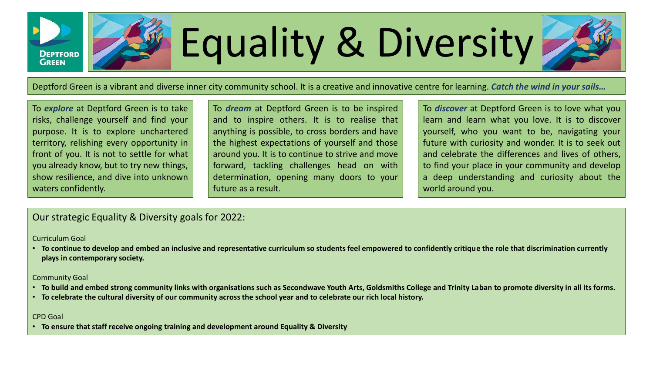

# Equality & Diversity

Deptford Green is a vibrant and diverse inner city community school. It is a creative and innovative centre for learning. *Catch the wind in your sails…*

To *explore* at Deptford Green is to take risks, challenge yourself and find your purpose. It is to explore unchartered territory, relishing every opportunity in front of you. It is not to settle for what you already know, but to try new things, show resilience, and dive into unknown waters confidently.

To *dream* at Deptford Green is to be inspired and to inspire others. It is to realise that anything is possible, to cross borders and have the highest expectations of yourself and those around you. It is to continue to strive and move forward, tackling challenges head on with determination, opening many doors to your future as a result.

To *discover* at Deptford Green is to love what you learn and learn what you love. It is to discover yourself, who you want to be, navigating your future with curiosity and wonder. It is to seek out and celebrate the differences and lives of others, to find your place in your community and develop a deep understanding and curiosity about the world around you.

### Our strategic Equality & Diversity goals for 2022:

#### Curriculum Goal

• **To continue to develop and embed an inclusive and representative curriculum so students feel empowered to confidently critique the role that discrimination currently plays in contemporary society.**

Community Goal

- **To build and embed strong community links with organisations such as Secondwave Youth Arts, Goldsmiths College and Trinity Laban to promote diversity in all its forms.**
- **To celebrate the cultural diversity of our community across the school year and to celebrate our rich local history.**

#### CPD Goal

• **To ensure that staff receive ongoing training and development around Equality & Diversity**